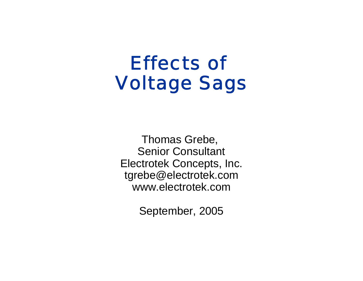# Effects of Voltage Sags

Thomas Grebe, Senior Consultant Electrotek Concepts, Inc. tgrebe@electrotek.com www.electrotek.com

September, 2005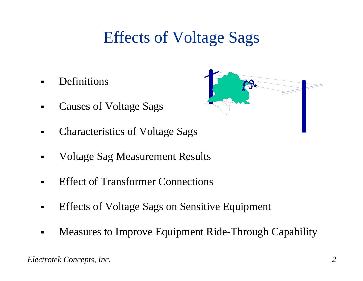## Effects of Voltage Sags

▉ Definitions

- Causes of Voltage Sags
- Characteristics of Voltage Sags
- Voltage Sag Measurement Results
- $\blacksquare$ Effect of Transformer Connections
- $\blacksquare$ Effects of Voltage Sags on Sensitive Equipment
- $\blacksquare$ Measures to Improve Equipment Ride-Through Capability

*Electrotek Concepts, Inc. 2*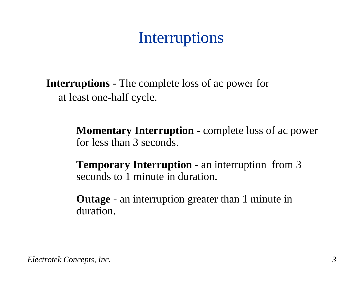## Interruptions

**Interruptions** - The complete loss of ac power for at least one-half cycle.

> **Momentary Interruption** - complete loss of ac power for less than 3 seconds.

**Temporary Interruption** - an interruption from 3 seconds to 1 minute in duration.

**Outage** - an interruption greater than 1 minute in duration.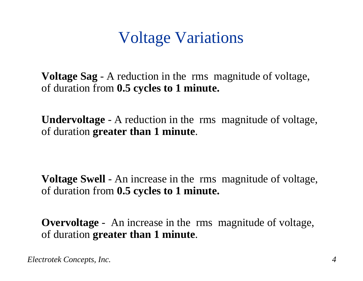### Voltage Variations

**Voltage Sag** - A reduction in the rms magnitude of voltage, of duration from **0.5 cycles to 1 minute.**

**Undervoltage** - A reduction in the rms magnitude of voltage, of duration **greater than 1 minute**.

**Voltage Swell** - An increase in the rms magnitude of voltage, of duration from **0.5 cycles to 1 minute.**

**Overvoltage** - An increase in the rms magnitude of voltage, of duration **greater than 1 minute**.

*Electrotek Concepts, Inc. 4*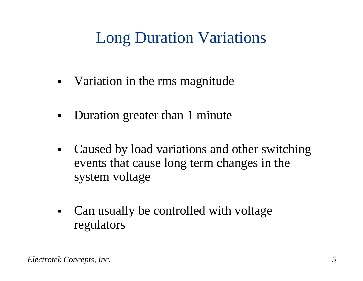## Long Duration Variations

- ٠ • Variation in the rms magnitude
- $\blacksquare$ Duration greater than 1 minute
- $\blacksquare$  Caused by load variations and other switching events that cause long term changes in the system voltage
- $\blacksquare$  Can usually be controlled with voltage regulators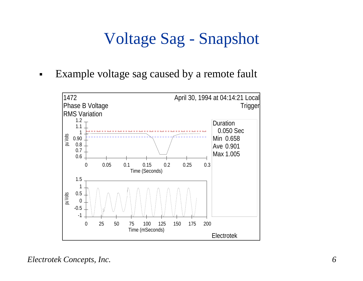## Voltage Sag - Snapshot

 $\blacksquare$ Example voltage sag caused by a remote fault

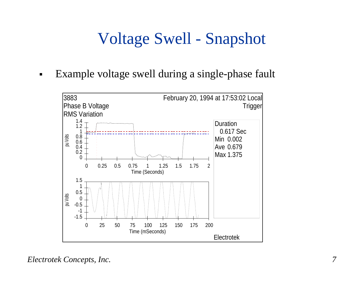## Voltage Swell - Snapshot

 $\blacksquare$ Example voltage swell during a single-phase fault

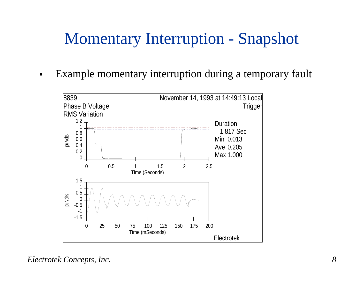### Momentary Interruption - Snapshot

 $\blacksquare$ Example momentary interruption during a temporary fault

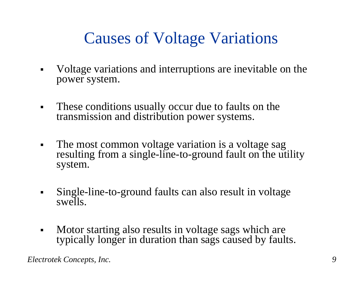## Causes of Voltage Variations

- $\blacksquare$  Voltage variations and interruptions are inevitable on the power system.
- $\blacksquare$  These conditions usually occur due to faults on the transmission and distribution power systems.
- $\blacksquare$ • The most common voltage variation is a voltage sag resulting from a single-line-to-ground fault on the utility system.
- $\blacksquare$  Single-line-to-ground faults can also result in voltage swells.
- $\blacksquare$  Motor starting also results in voltage sags which are typically longer in duration than sags caused by faults.

*Electrotek Concepts, Inc. 9*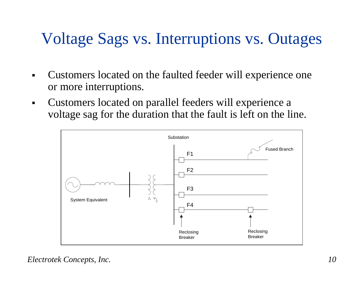## Voltage Sags vs. Interruptions vs. Outages

- Customers located on the faulted feeder will experience one or more interruptions.
- $\blacksquare$  Customers located on parallel feeders will experience a voltage sag for the duration that the fault is left on the line.

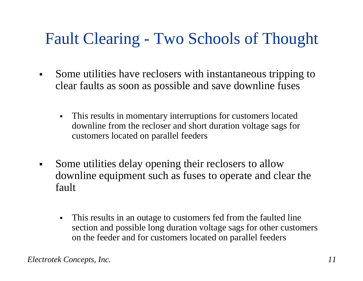## Fault Clearing - Two Schools of Thought

- $\blacksquare$  Some utilities have reclosers with instantaneous tripping to clear faults as soon as possible and save downline fuses
	- $\blacksquare$  This results in momentary interruptions for customers located downline from the recloser and short duration voltage sags for customers located on parallel feeders
- $\blacksquare$  Some utilities delay opening their reclosers to allow downline equipment such as fuses to operate and clear the fault
	- $\blacksquare$  This results in an outage to customers fed from the faulted line section and possible long duration voltage sags for other customers on the feeder and for customers located on parallel feeders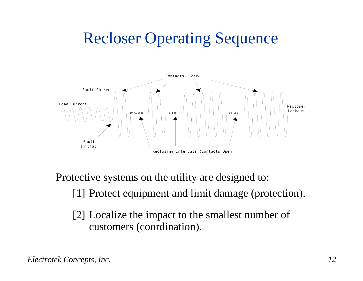## Recloser Operating Sequence



Protective systems on the utility are designed to:

[1] Protect equipment and limit damage (protection).

[2] Localize the impact to the smallest number of customers (coordination).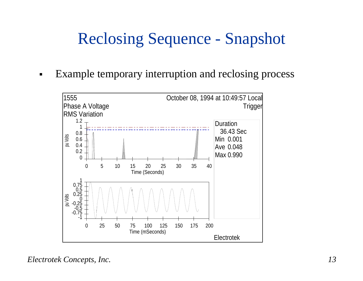## Reclosing Sequence - Snapshot

 $\blacksquare$ Example temporary interruption and reclosing process

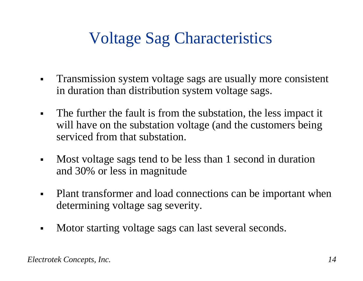## Voltage Sag Characteristics

- $\blacksquare$  Transmission system voltage sags are usually more consistent in duration than distribution system voltage sags.
- $\blacksquare$  The further the fault is from the substation, the less impact it will have on the substation voltage (and the customers being serviced from that substation.
- $\blacksquare$  Most voltage sags tend to be less than 1 second in duration and 30% or less in magnitude
- $\blacksquare$  Plant transformer and load connections can be important when determining voltage sag severity.
- $\blacksquare$ Motor starting voltage sags can last several seconds.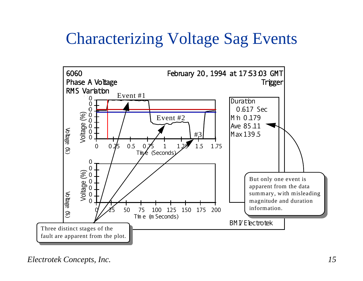### Characterizing Voltage Sag Events

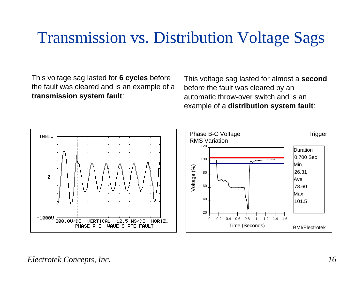#### Transmission vs. Distribution Voltage Sags

This voltage sag lasted for **6 cycles** before the fault was cleared and is an example of a **transmission system fault**:

This voltage sag lasted for almost a **second** before the fault was cleared by an automatic throw-over switch and is an example of a **distribution system fault**:

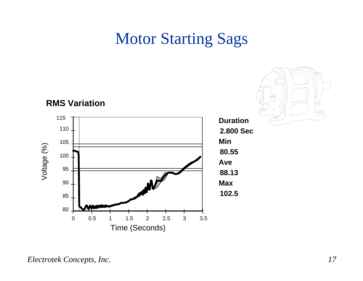#### **Motor Starting Sags**

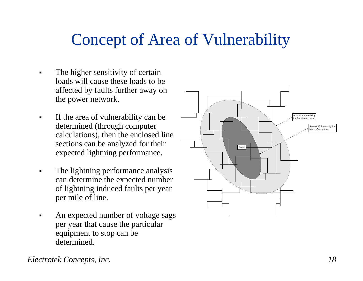#### Concept of Area of Vulnerability

- ▛ The higher sensitivity of certain loads will cause these loads to be affected by faults further away on the power network.
- $\blacksquare$  If the area of vulnerability can be determined (through computer calculations), then the enclosed line sections can be analyzed for their expected lightning performance.
- L The lightning performance analysis can determine the expected number of lightning induced faults per year per mile of line.
- ▛ An expected number of voltage sags per year that cause the particular equipment to stop can be determined.



*Electrotek Concepts, Inc. 18*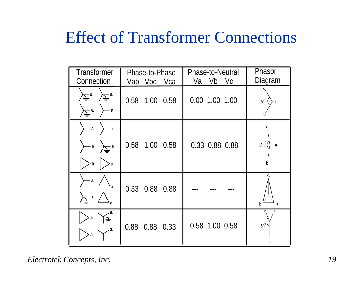#### Effect of Transformer Connections

| <b>Transformer</b><br>Connection                                                                                                                    | Phase-to-Phase<br>Vab Vbc Vca | <b>Phase-to-Neutral</b><br>Va Vb Vc | Phasor<br>Diagram  |
|-----------------------------------------------------------------------------------------------------------------------------------------------------|-------------------------------|-------------------------------------|--------------------|
| $\left\langle \sum_{i=1}^{n} g_i \right\rangle \left\langle \sum_{i=1}^{n} g_i \right\rangle$<br>$\sum_{i=1}^{n} a_i$<br>$\overline{\phantom{a}}$ a | 0.58 1.00 0.58                | 0.00 1.00 1.00                      | $120^{\circ}$ (    |
| $\rangle$ a<br>)— a<br>$\rangle$ a $\sum_{\equiv} a$<br>> a                                                                                         | 0.58 1.00 0.58                | 0.33 0.88 0.88                      | $158^\circ$        |
| $\rangle$ — a<br>$\sum_{i=1}^{n} a_i$                                                                                                               | 0.33 0.88 0.88                |                                     | b<br>a             |
|                                                                                                                                                     | 0.88 0.88 0.33                | 0.58 1.00 0.58                      | a<br>$150^{\circ}$ |

*Electrotek Concepts, Inc. 19*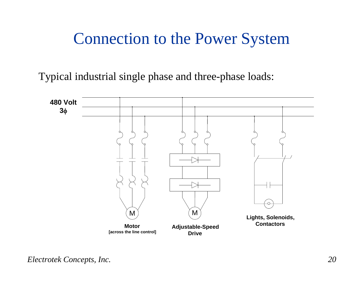#### Connection to the Power System

Typical industrial single phase and three-phase loads:

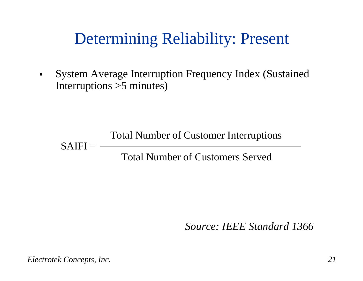### Determining Reliability: Present

 $\blacksquare$  System Average Interruption Frequency Index (Sustained Interruptions >5 minutes)

Total Number of Customer Interruptions Total Number of Customers Served $SAIFI = -$ 

*Source: IEEE Standard 1366*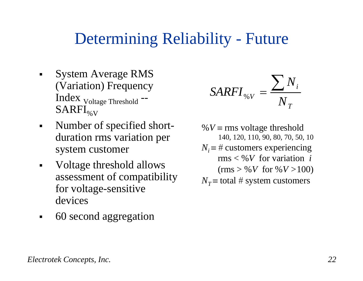#### Determining Reliability - Future

- $\blacksquare$  System Average RMS (Variation) Frequency Index Voltage Threshold --  $SARFI_{\% V}$
- $\blacksquare$  Number of specified shortduration rms variation per system customer
- $\blacksquare$  Voltage threshold allows assessment of compatibility for voltage-sensitive devices
- $\blacksquare$ 60 second aggregation

$$
SARTI_{\%V} = \frac{\sum N_i}{N_T}
$$

%  $V \equiv \text{rms}$  voltage threshold 140, 120, 110, 90, 80, 70, 50, 10  $N_i \equiv #$  customers experiencing rms < %*V* for variation *i*  $(rms > %V for %V > 100)$  $N_T \equiv$  total # system customers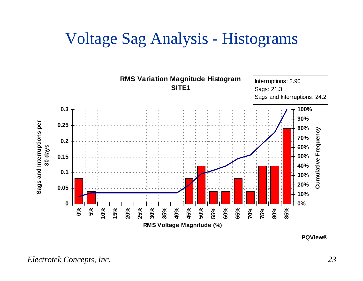#### Voltage Sag Analysis - Histograms



**PQView®**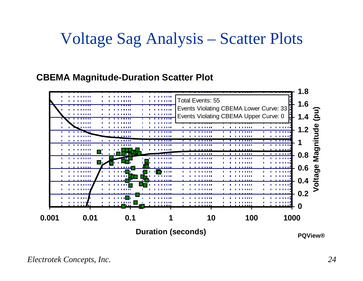#### Voltage Sag Analysis – Scatter Plots

#### **CBEMA Magnitude-Duration Scatter Plot**

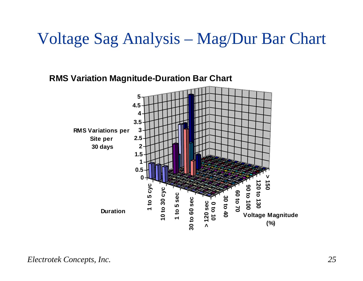#### Voltage Sag Analysis – Mag/Dur Bar Chart

**RMS Variation Magnitude-Duration Bar Chart**

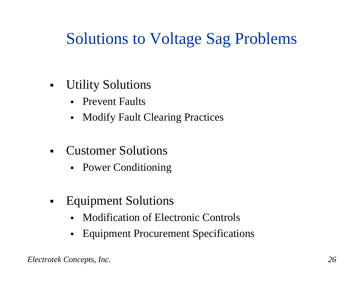## Solutions to Voltage Sag Problems

- $\blacksquare$  Utility Solutions
	- $\blacksquare$ Prevent Faults
	- $\blacksquare$ Modify Fault Clearing Practices
- $\blacksquare$  Customer Solutions
	- Power Conditioning
- $\blacksquare$  Equipment Solutions
	- $\blacksquare$ Modification of Electronic Controls
	- **Equipment Procurement Specifications**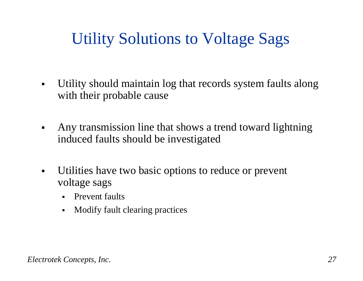## Utility Solutions to Voltage Sags

- $\blacksquare$  Utility should maintain log that records system faults along with their probable cause
- $\blacksquare$  Any transmission line that shows a trend toward lightning induced faults should be investigated
- $\blacksquare$  Utilities have two basic options to reduce or prevent voltage sags
	- Prevent faults
	- $\blacksquare$ Modify fault clearing practices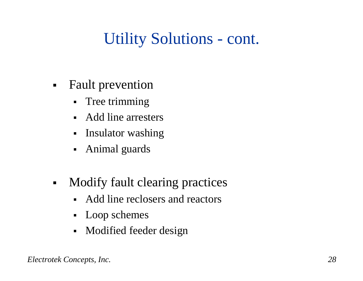## Utility Solutions - cont.

- $\blacksquare$  Fault prevention
	- $\blacksquare$ Tree trimming
	- Add line arresters
	- Insulator washing
	- Animal guards
- $\blacksquare$  Modify fault clearing practices
	- $\blacksquare$ Add line reclosers and reactors
	- Loop schemes
	- Modified feeder design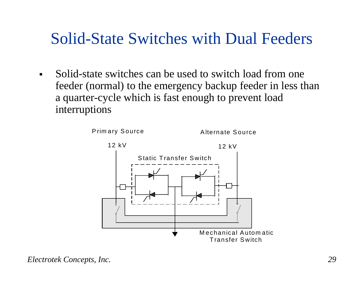#### Solid-State Switches with Dual Feeders

 $\blacksquare$  Solid-state switches can be used to switch load from one feeder (normal) to the emergency backup feeder in less than a quarter-cycle which is fast enough to prevent load interruptions

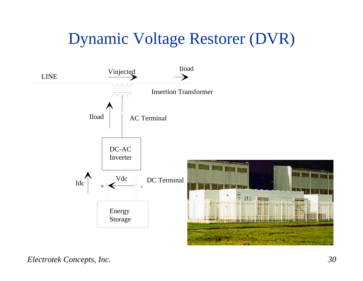## Dynamic Voltage Restorer (DVR)

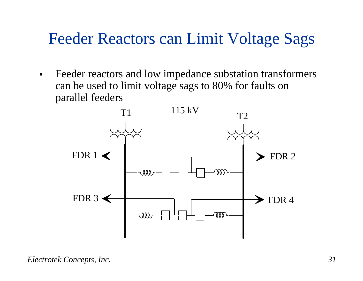#### Feeder Reactors can Limit Voltage Sags

 $\blacksquare$  Feeder reactors and low impedance substation transformers can be used to limit voltage sags to 80% for faults on parallel feeders